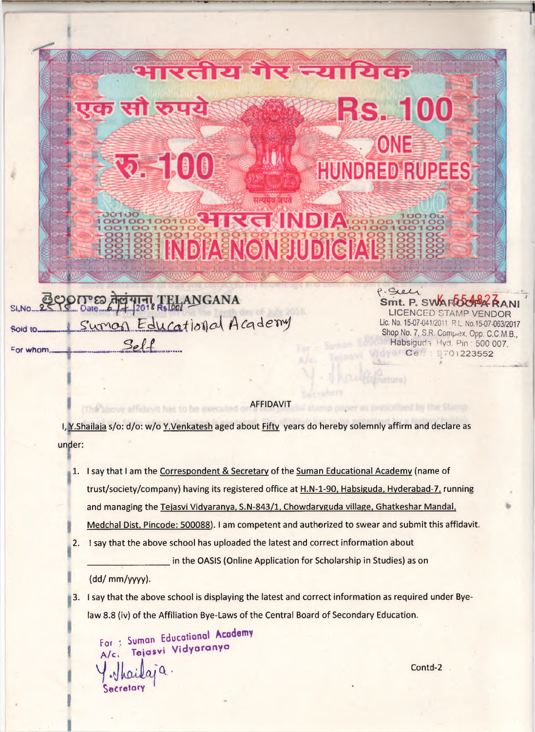

## AFFIDAVIT

\* or whom.™\*™, — ... ............................ '\*01^23552

I, Y.Shailaja s/o: d/o: w/o Y.Venkatesh aged about Fifty years do hereby solemnly affirm and declare as under:

- 1. I say that I am the Correspondent & Secretary of the Suman Educational Academy (name of trust/society/company) having its registered office at H.N-1-90. Habsiguda. Hyderabad-7, running and managing the Teiasvi Vidvaranva. S.N-843/1, Chowdaryguda village. Ghatkeshar Mandai. Medchal Dist. Pincode: 500088). I am competent and authorized to swear and submit this affidavit.
- 2. I say that the above school has uploaded the latest and correct information about

in the OASIS (Online Application for Scholarship in Studies) as on

(dd/ mm/yyyy).

(The above affidavit has to be execut

I

3. I say that the above school is displaying the latest and correct information as required under Byelaw 8.8 (iv) of the Affiliation Bye-Laws of the Central Board of Secondary Education.

For: Suman Educational Academy A/c. Tejasvi Vidyaranya Y. Thailaia. Contd. Secretory